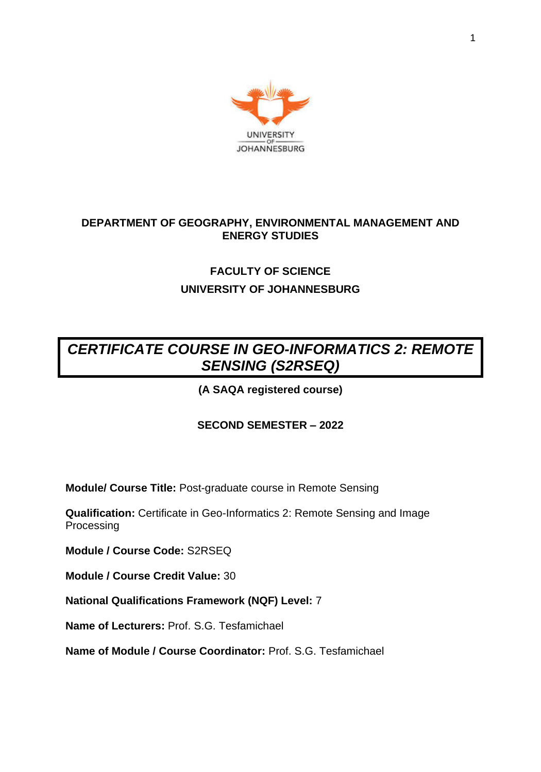

## **DEPARTMENT OF GEOGRAPHY, ENVIRONMENTAL MANAGEMENT AND ENERGY STUDIES**

## **FACULTY OF SCIENCE UNIVERSITY OF JOHANNESBURG**

# *CERTIFICATE COURSE IN GEO-INFORMATICS 2: REMOTE SENSING (S2RSEQ)*

## **(A SAQA registered course)**

## **SECOND SEMESTER – 2022**

**Module/ Course Title:** Post-graduate course in Remote Sensing

**Qualification:** Certificate in Geo-Informatics 2: Remote Sensing and Image Processing

**Module / Course Code:** S2RSEQ

**Module / Course Credit Value:** 30

**National Qualifications Framework (NQF) Level:** 7

**Name of Lecturers:** Prof. S.G. Tesfamichael

**Name of Module / Course Coordinator:** Prof. S.G. Tesfamichael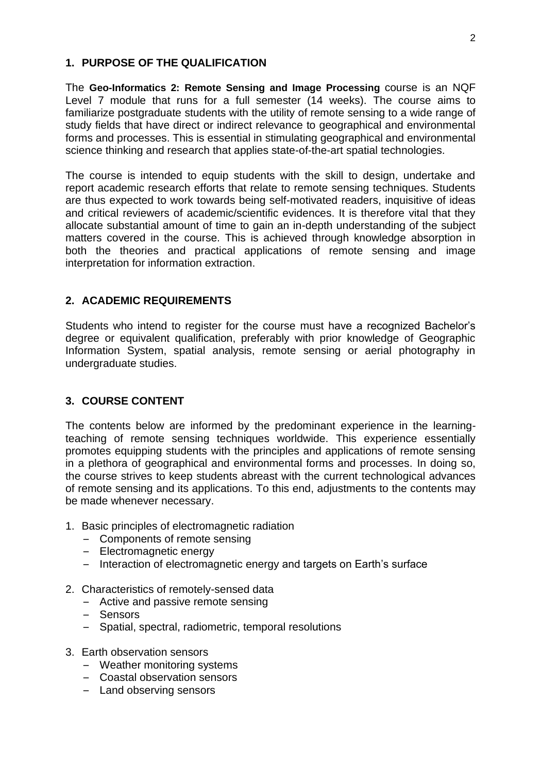#### **1. PURPOSE OF THE QUALIFICATION**

The **Geo-Informatics 2: Remote Sensing and Image Processing** course is an NQF Level 7 module that runs for a full semester (14 weeks). The course aims to familiarize postgraduate students with the utility of remote sensing to a wide range of study fields that have direct or indirect relevance to geographical and environmental forms and processes. This is essential in stimulating geographical and environmental science thinking and research that applies state-of-the-art spatial technologies.

The course is intended to equip students with the skill to design, undertake and report academic research efforts that relate to remote sensing techniques. Students are thus expected to work towards being self-motivated readers, inquisitive of ideas and critical reviewers of academic/scientific evidences. It is therefore vital that they allocate substantial amount of time to gain an in-depth understanding of the subject matters covered in the course. This is achieved through knowledge absorption in both the theories and practical applications of remote sensing and image interpretation for information extraction.

### **2. ACADEMIC REQUIREMENTS**

Students who intend to register for the course must have a recognized Bachelor's degree or equivalent qualification, preferably with prior knowledge of Geographic Information System, spatial analysis, remote sensing or aerial photography in undergraduate studies.

### **3. COURSE CONTENT**

The contents below are informed by the predominant experience in the learningteaching of remote sensing techniques worldwide. This experience essentially promotes equipping students with the principles and applications of remote sensing in a plethora of geographical and environmental forms and processes. In doing so, the course strives to keep students abreast with the current technological advances of remote sensing and its applications. To this end, adjustments to the contents may be made whenever necessary.

- 1. Basic principles of electromagnetic radiation
	- Components of remote sensing
	- Electromagnetic energy
	- Interaction of electromagnetic energy and targets on Earth's surface
- 2. Characteristics of remotely-sensed data
	- Active and passive remote sensing
	- Sensors
	- Spatial, spectral, radiometric, temporal resolutions
- 3. Earth observation sensors
	- Weather monitoring systems
	- Coastal observation sensors
	- Land observing sensors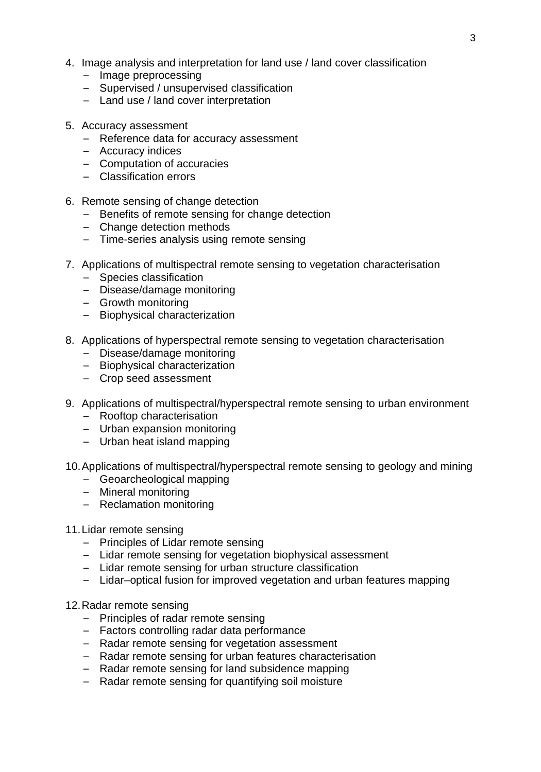- 4. Image analysis and interpretation for land use / land cover classification
	- Image preprocessing
	- Supervised / unsupervised classification
	- Land use / land cover interpretation
- 5. Accuracy assessment
	- Reference data for accuracy assessment
	- Accuracy indices
	- Computation of accuracies
	- Classification errors
- 6. Remote sensing of change detection
	- Benefits of remote sensing for change detection
	- Change detection methods
	- Time-series analysis using remote sensing
- 7. Applications of multispectral remote sensing to vegetation characterisation
	- Species classification
	- Disease/damage monitoring
	- Growth monitoring
	- Biophysical characterization
- 8. Applications of hyperspectral remote sensing to vegetation characterisation
	- Disease/damage monitoring
	- Biophysical characterization
	- Crop seed assessment
- 9. Applications of multispectral/hyperspectral remote sensing to urban environment
	- Rooftop characterisation
	- Urban expansion monitoring
	- Urban heat island mapping
- 10.Applications of multispectral/hyperspectral remote sensing to geology and mining
	- Geoarcheological mapping
	- Mineral monitoring
	- Reclamation monitoring
- 11.Lidar remote sensing
	- Principles of Lidar remote sensing
	- Lidar remote sensing for vegetation biophysical assessment
	- Lidar remote sensing for urban structure classification
	- Lidar–optical fusion for improved vegetation and urban features mapping
- 12.Radar remote sensing
	- Principles of radar remote sensing
	- Factors controlling radar data performance
	- Radar remote sensing for vegetation assessment
	- Radar remote sensing for urban features characterisation
	- Radar remote sensing for land subsidence mapping
	- Radar remote sensing for quantifying soil moisture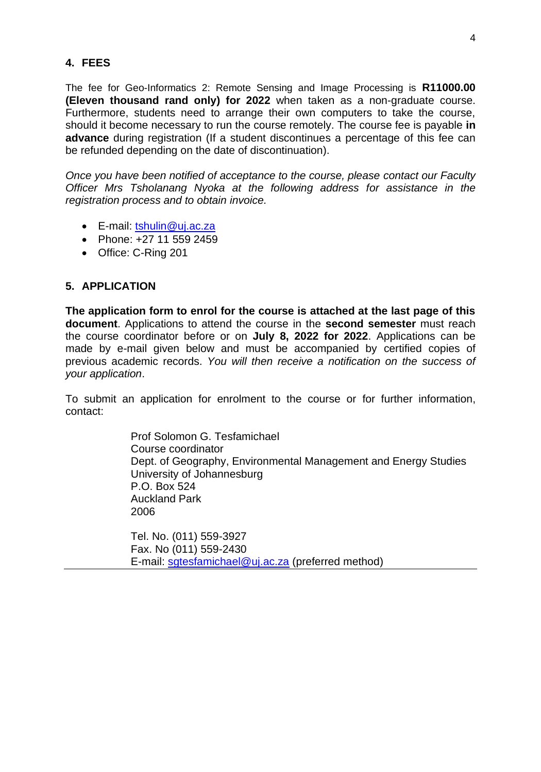#### **4. FEES**

The fee for Geo-Informatics 2: Remote Sensing and Image Processing is **R11000.00 (Eleven thousand rand only) for 2022** when taken as a non-graduate course. Furthermore, students need to arrange their own computers to take the course, should it become necessary to run the course remotely. The course fee is payable **in advance** during registration (If a student discontinues a percentage of this fee can be refunded depending on the date of discontinuation).

*Once you have been notified of acceptance to the course, please contact our Faculty Officer Mrs Tsholanang Nyoka at the following address for assistance in the registration process and to obtain invoice.*

- E-mail: [tshulin@uj.ac.za](mailto:tshulin@uj.ac.za)
- Phone: +27 11 559 2459
- Office: C-Ring 201

#### **5. APPLICATION**

**The application form to enrol for the course is attached at the last page of this document**. Applications to attend the course in the **second semester** must reach the course coordinator before or on **July 8, 2022 for 2022**. Applications can be made by e-mail given below and must be accompanied by certified copies of previous academic records. *You will then receive a notification on the success of your application*.

To submit an application for enrolment to the course or for further information, contact:

> Prof Solomon G. Tesfamichael Course coordinator Dept. of Geography, Environmental Management and Energy Studies University of Johannesburg P.O. Box 524 Auckland Park 2006

Tel. No. (011) 559-3927 Fax. No (011) 559-2430 E-mail: [sgtesfamichael@uj.ac.za](mailto:sgtesfamichael@uj.ac.za) (preferred method)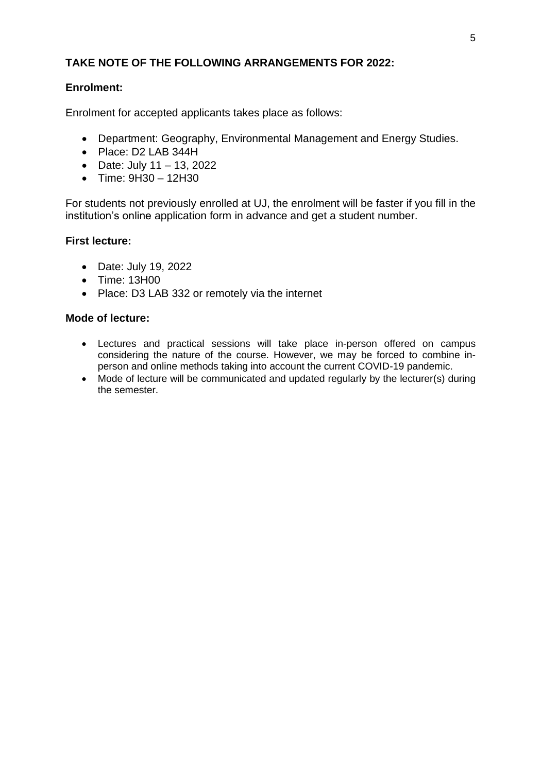### **TAKE NOTE OF THE FOLLOWING ARRANGEMENTS FOR 2022:**

### **Enrolment:**

Enrolment for accepted applicants takes place as follows:

- Department: Geography, Environmental Management and Energy Studies.
- Place: D2 LAB 344H
- Date: July  $11 13$ , 2022
- Time: 9H30 12H30

For students not previously enrolled at UJ, the enrolment will be faster if you fill in the institution's online application form in advance and get a student number.

### **First lecture:**

- Date: July 19, 2022
- Time: 13H00
- Place: D3 LAB 332 or remotely via the internet

#### **Mode of lecture:**

- Lectures and practical sessions will take place in-person offered on campus considering the nature of the course. However, we may be forced to combine inperson and online methods taking into account the current COVID-19 pandemic.
- Mode of lecture will be communicated and updated regularly by the lecturer(s) during the semester.